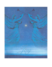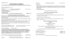# *3rd Sunday of Advent*

*Liberty Pole UMC Worship Service-Sunday, 9:00 A.M. Viroqua UMC Worship Service-Sunday, 10:30 A.M.*

*Please turn off all cell phones and electronics. \*\*Please stand if you are able.*

# **Prelude "O Come Little Children"** By: J.A.P. Schulz

 *(A time to prepare for worship through prayer and meditation.)* **Welcoming Words**

 *(Please sign the attendance sheets.)*

#### **Announcements**

**\*\*Hymn of Praise "It Came Upon A Midnight Clear" UMH No. 218**

# **Lighting of the third advent candle-Joy**

**READER ONE:** Every year we light candles as we prepare for the coming of Christ. More and more candles, more and more light, as we watch and wait for Jesus, the Light of the World.

**All:** God of Promise, come into our darkness. Renew your hope and peace and joy in us, for you alone bring life out of death.

**Reader Two:** Receive God's promise of joy from Psalm 28: Praise be to the LORD for he has heard my cry for mercy. The LORD is my strength and my shield.

**All:** My heart trusts in him, and I am helped. My heart leaps for joy and I will give thanks to him in song.

(RYAN, CARRIE & HUDSON BRINKMAN  $\omega$  LP) (GREGORY & MARY CHEEVER  $\omega$  V)

LIGHT THE CANDLES OF HOPE, PEACE & JOY TODAY WE ARE PLACING JOSEPH AS A SIGN OF JOY

# **\*\*Opening Prayer** *(Pray in Unison)*

**Come into this gathering today Lord, binding up our brokenheartedness, freeing us from our shackles, releasing us from our blindness, and replacing our sadness with joy. Take off our garment of despair, Lord. And dress us with party clothes of praise! Come to us Lord Jesus: adorn us with Hope; adorn us with Gladness; adorn us with Praise***. Amen* 

| JOYS AND CONCERNS, PASTORAL PRAYER, LORD'S PRAYER | <b>UMH No. 895</b> |
|---------------------------------------------------|--------------------|
| L: Lord, in your mercy $P$ : Hear our prayer      |                    |
|                                                   |                    |

| **HYMN | "GOOD CHRISTIAN FRIENDS, REJOICE" | <b>UMH No. 224</b> |
|--------|-----------------------------------|--------------------|
|        |                                   |                    |

#### **\*\*Doxology**

**Praise God from whom all blessings flow; praise Him, all creatures here below; praise Him above, ye heavenly host; praise Father, Son, and Holy Ghost.** *Amen.* 

### **\*\* Offertory Prayer**

#### *\*\*\*\*\*\*\*\*\*\*\*\*\*\*\*\*\*\*\*\*\*\*\*\*\*\*\*\*\*\*\*\*\*\**

# **Liberty Pole Christmas Readings**

Long, Long Ago; My Gift—*Brittany Deaver*

In Thine Own Heart; A Christmas Verse; The Friendly Beasts; Hark the Glad Sound—*Dalton Hardy*

The Three Kings—*Chandler Volden*

THE SONG OF MARY; A CHILD'S OFFERING; THAT HOLY STAR; I HAVE A LITTLE Secret - *Zach Lohr*

# **Liberty Pole UMC Sunday School**

# **Presents**

**"The First Noel" - Bells**

# **"O Holy Night"**

a duet by Brian & Amanda Gardner, accompanied by Holly Slack

# **The Christmas Program**

Accompanied by Britany Deaver, piano and Cyndy Hubbard, Guitar

Congregational Songs:

| "WHAT CHILD IS THIS?" (LP)          | <b>UMH No. 219</b> |
|-------------------------------------|--------------------|
| " $\overline{O}$ TO THE WORLD" (LP) | <b>UMH No. 246</b> |

**Candle Lighting @ LP**

*\*\*\*\*\*\*\*\*\*\*\*\*\*\*\*\*\*\*\*\*\*\*\*\*\*\*\*\*\*\*\*\*\*\**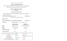#### *\*\*\*\*\*\*\*\*\*\*\*\*\*\*\*\*\*\*\*\*\*\*\*\*\*\*\*\*\*\*\*\*\*\**

#### **Viroqua Christmas Readings**

In Thine Own Heart; My Gift; A Christmas Verse—*Ansel Brenneman* Hark, The Glad Sound; Christmas—*Grant Hanson*

#### **Viroqua UMC Sunday School**

#### **Presents**

### **"The Story of Jesus' Birth"**

Readers: Mitchell Hanson, MacKenzie Stalsberg, Mallory Hanson Congregational Song:

 **"Go Tell It On The Mountain"** (V) **UMH No. 251**

#### *\*\*\*\*\*\*\*\*\*\*\*\*\*\*\*\*\*\*\*\*\*\*\*\*\*\*\*\*\*\*\*\*\*\**

### **\*\*Benediction**

| <b>**BENEDICTION RESPONSE</b> | "EMMANUEL, EMMANUEL" | <b>UMH No. 204</b> |
|-------------------------------|----------------------|--------------------|
|-------------------------------|----------------------|--------------------|

**\*\*Postlude "A Joyous Carol"** By: Leon Rogues (V)

**LIBERTY POLE UMC VIROQUA UMC**

| <b>USHERS</b>                   | Arden & Lynn Zitzner | Betty Ross/Minie Hirschfield |
|---------------------------------|----------------------|------------------------------|
| <b>GREETERS</b>                 | Arden & Lynn Zitzner | David Peterson               |
| <b>LITURGIST</b>                | Cyndy Hubbard        | Cavan Fang                   |
| <b>LAST SUNDAY'S ATTENDANCE</b> | 68                   | 67                           |
|                                 |                      |                              |

**LAST SUNDAY'S OFFERING**  $$685.50$   $$3521.00$ 

| Viroqua & Liberty Pole United Methodist Churches                      | Pastor         | Rev. Jean Waldron                  |
|-----------------------------------------------------------------------|----------------|------------------------------------|
| PO Box 127                                                            | Organists      | Holly Slack (LP)                   |
| Viroqua, WI 54665<br>Phone: 608-637-3551                              |                | Kathy Hanson (V) & Barb Casper (V) |
| Fax: 608-637-8193                                                     | Choir Director | Irene Fortney                      |
| E-mail: info@ViroquaUMC.org<br>Pastor's Email: jeanlwaldron@gmail.com | Secretary      | Lisa Marsh                         |